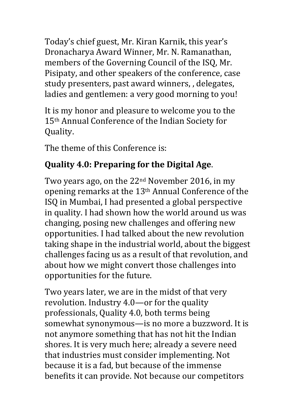Today's chief guest, Mr. Kiran Karnik, this year's Dronacharya Award Winner, Mr. N. Ramanathan, members of the Governing Council of the ISQ, Mr. Pisipaty, and other speakers of the conference, case study presenters, past award winners, , delegates, ladies and gentlemen: a very good morning to you!

It is my honor and pleasure to welcome you to the 15<sup>th</sup> Annual Conference of the Indian Society for Quality.

The theme of this Conference is:

## **Quality 4.0: Preparing for the Digital Age.**

Two years ago, on the  $22<sup>nd</sup>$  November 2016, in my opening remarks at the 13<sup>th</sup> Annual Conference of the ISQ in Mumbai, I had presented a global perspective in quality. I had shown how the world around us was changing, posing new challenges and offering new opportunities. I had talked about the new revolution taking shape in the industrial world, about the biggest challenges facing us as a result of that revolution, and about how we might convert those challenges into opportunities for the future.

Two years later, we are in the midst of that very revolution. Industry  $4.0$ —or for the quality professionals, Quality 4.0, both terms being somewhat synonymous—is no more a buzzword. It is not anymore something that has not hit the Indian shores. It is very much here; already a severe need that industries must consider implementing. Not because it is a fad, but because of the immense benefits it can provide. Not because our competitors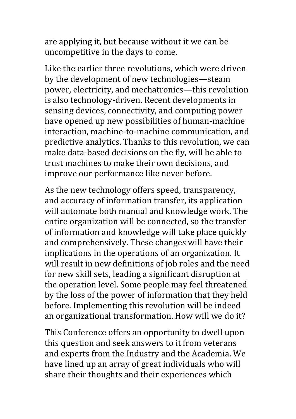are applying it, but because without it we can be uncompetitive in the days to come.

Like the earlier three revolutions, which were driven by the development of new technologies—steam power, electricity, and mechatronics—this revolution is also technology-driven. Recent developments in sensing devices, connectivity, and computing power have opened up new possibilities of human-machine interaction, machine-to-machine communication, and predictive analytics. Thanks to this revolution, we can make data-based decisions on the fly, will be able to trust machines to make their own decisions, and improve our performance like never before.

As the new technology offers speed, transparency, and accuracy of information transfer, its application will automate both manual and knowledge work. The entire organization will be connected, so the transfer of information and knowledge will take place quickly and comprehensively. These changes will have their implications in the operations of an organization. It will result in new definitions of job roles and the need for new skill sets, leading a significant disruption at the operation level. Some people may feel threatened by the loss of the power of information that they held before. Implementing this revolution will be indeed an organizational transformation. How will we do it?

This Conference offers an opportunity to dwell upon this question and seek answers to it from veterans and experts from the Industry and the Academia. We have lined up an array of great individuals who will share their thoughts and their experiences which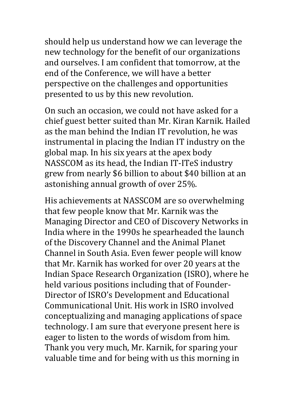should help us understand how we can leverage the new technology for the benefit of our organizations and ourselves. I am confident that tomorrow, at the end of the Conference, we will have a better perspective on the challenges and opportunities presented to us by this new revolution.

On such an occasion, we could not have asked for a chief guest better suited than Mr. Kiran Karnik. Hailed as the man behind the Indian IT revolution, he was instrumental in placing the Indian IT industry on the global map. In his six years at the apex body NASSCOM as its head, the Indian IT-ITeS industry grew from nearly \$6 billion to about \$40 billion at an astonishing annual growth of over 25%.

His achievements at NASSCOM are so overwhelming that few people know that Mr. Karnik was the Managing Director and CEO of Discovery Networks in India where in the 1990s he spearheaded the launch of the Discovery Channel and the Animal Planet Channel in South Asia. Even fewer people will know that Mr. Karnik has worked for over 20 years at the Indian Space Research Organization (ISRO), where he held various positions including that of Founder-Director of ISRO's Development and Educational Communicational Unit. His work in ISRO involved conceptualizing and managing applications of space technology. I am sure that everyone present here is eager to listen to the words of wisdom from him. Thank you very much, Mr. Karnik, for sparing your valuable time and for being with us this morning in